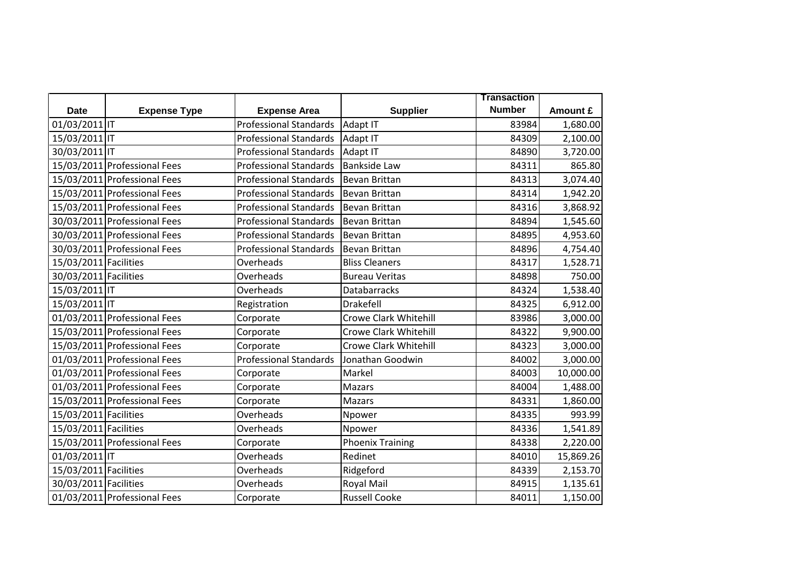|                       |                              |                               |                              | <b>Transaction</b> |           |
|-----------------------|------------------------------|-------------------------------|------------------------------|--------------------|-----------|
| <b>Date</b>           | <b>Expense Type</b>          | <b>Expense Area</b>           | <b>Supplier</b>              | <b>Number</b>      | Amount £  |
| 01/03/2011 IT         |                              | <b>Professional Standards</b> | Adapt IT                     | 83984              | 1,680.00  |
| 15/03/2011 IT         |                              | <b>Professional Standards</b> | Adapt IT                     | 84309              | 2,100.00  |
| 30/03/2011 IT         |                              | <b>Professional Standards</b> | Adapt IT                     | 84890              | 3,720.00  |
|                       | 15/03/2011 Professional Fees | <b>Professional Standards</b> | <b>Bankside Law</b>          | 84311              | 865.80    |
|                       | 15/03/2011 Professional Fees | <b>Professional Standards</b> | <b>Bevan Brittan</b>         | 84313              | 3,074.40  |
|                       | 15/03/2011 Professional Fees | <b>Professional Standards</b> | <b>Bevan Brittan</b>         | 84314              | 1,942.20  |
|                       | 15/03/2011 Professional Fees | <b>Professional Standards</b> | Bevan Brittan                | 84316              | 3,868.92  |
|                       | 30/03/2011 Professional Fees | <b>Professional Standards</b> | <b>Bevan Brittan</b>         | 84894              | 1,545.60  |
|                       | 30/03/2011 Professional Fees | <b>Professional Standards</b> | <b>Bevan Brittan</b>         | 84895              | 4,953.60  |
|                       | 30/03/2011 Professional Fees | <b>Professional Standards</b> | <b>Bevan Brittan</b>         | 84896              | 4,754.40  |
| 15/03/2011 Facilities |                              | Overheads                     | <b>Bliss Cleaners</b>        | 84317              | 1,528.71  |
| 30/03/2011 Facilities |                              | Overheads                     | <b>Bureau Veritas</b>        | 84898              | 750.00    |
| 15/03/2011 IT         |                              | Overheads                     | <b>Databarracks</b>          | 84324              | 1,538.40  |
| 15/03/2011 IT         |                              | Registration                  | <b>Drakefell</b>             | 84325              | 6,912.00  |
|                       | 01/03/2011 Professional Fees | Corporate                     | <b>Crowe Clark Whitehill</b> | 83986              | 3,000.00  |
|                       | 15/03/2011 Professional Fees | Corporate                     | Crowe Clark Whitehill        | 84322              | 9,900.00  |
|                       | 15/03/2011 Professional Fees | Corporate                     | <b>Crowe Clark Whitehill</b> | 84323              | 3,000.00  |
|                       | 01/03/2011 Professional Fees | <b>Professional Standards</b> | Jonathan Goodwin             | 84002              | 3,000.00  |
|                       | 01/03/2011 Professional Fees | Corporate                     | Markel                       | 84003              | 10,000.00 |
|                       | 01/03/2011 Professional Fees | Corporate                     | Mazars                       | 84004              | 1,488.00  |
|                       | 15/03/2011 Professional Fees | Corporate                     | Mazars                       | 84331              | 1,860.00  |
| 15/03/2011 Facilities |                              | Overheads                     | Npower                       | 84335              | 993.99    |
| 15/03/2011 Facilities |                              | Overheads                     | Npower                       | 84336              | 1,541.89  |
|                       | 15/03/2011 Professional Fees | Corporate                     | <b>Phoenix Training</b>      | 84338              | 2,220.00  |
| 01/03/2011 IT         |                              | Overheads                     | Redinet                      | 84010              | 15,869.26 |
| 15/03/2011 Facilities |                              | Overheads                     | Ridgeford                    | 84339              | 2,153.70  |
| 30/03/2011 Facilities |                              | Overheads                     | Royal Mail                   | 84915              | 1,135.61  |
|                       | 01/03/2011 Professional Fees | Corporate                     | <b>Russell Cooke</b>         | 84011              | 1,150.00  |